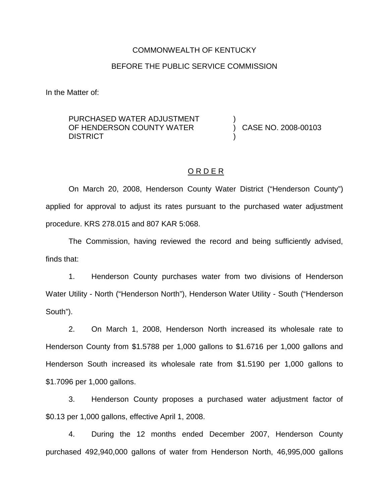# COMMONWEALTH OF KENTUCKY BEFORE THE PUBLIC SERVICE COMMISSION

In the Matter of:

### PURCHASED WATER ADJUSTMENT OF HENDERSON COUNTY WATER **DISTRICT**

) CASE NO. 2008-00103

### O R D E R

)

)

On March 20, 2008, Henderson County Water District ("Henderson County") applied for approval to adjust its rates pursuant to the purchased water adjustment procedure. KRS 278.015 and 807 KAR 5:068.

The Commission, having reviewed the record and being sufficiently advised, finds that:

1. Henderson County purchases water from two divisions of Henderson Water Utility - North ("Henderson North"), Henderson Water Utility - South ("Henderson South").

2. On March 1, 2008, Henderson North increased its wholesale rate to Henderson County from \$1.5788 per 1,000 gallons to \$1.6716 per 1,000 gallons and Henderson South increased its wholesale rate from \$1.5190 per 1,000 gallons to \$1.7096 per 1,000 gallons.

3. Henderson County proposes a purchased water adjustment factor of \$0.13 per 1,000 gallons, effective April 1, 2008.

4. During the 12 months ended December 2007, Henderson County purchased 492,940,000 gallons of water from Henderson North, 46,995,000 gallons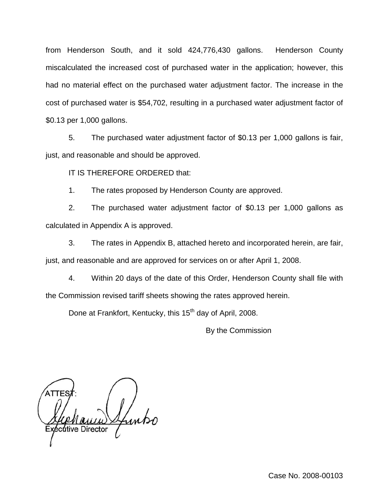from Henderson South, and it sold 424,776,430 gallons. Henderson County miscalculated the increased cost of purchased water in the application; however, this had no material effect on the purchased water adjustment factor. The increase in the cost of purchased water is \$54,702, resulting in a purchased water adjustment factor of \$0.13 per 1,000 gallons.

5. The purchased water adjustment factor of \$0.13 per 1,000 gallons is fair, just, and reasonable and should be approved.

IT IS THEREFORE ORDERED that:

1. The rates proposed by Henderson County are approved.

2. The purchased water adjustment factor of \$0.13 per 1,000 gallons as calculated in Appendix A is approved.

3. The rates in Appendix B, attached hereto and incorporated herein, are fair, just, and reasonable and are approved for services on or after April 1, 2008.

4. Within 20 days of the date of this Order, Henderson County shall file with the Commission revised tariff sheets showing the rates approved herein.

Done at Frankfort, Kentucky, this 15<sup>th</sup> day of April, 2008.

By the Commission

cutive Director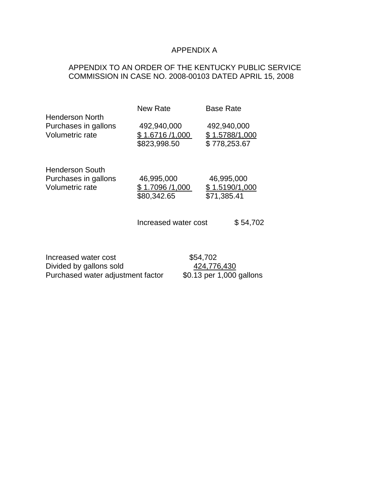# APPENDIX A

# APPENDIX TO AN ORDER OF THE KENTUCKY PUBLIC SERVICE COMMISSION IN CASE NO. 2008-00103 DATED APRIL 15, 2008

| Henderson North<br>Purchases in gallons<br>Volumetric rate | New Rate                                      | <b>Base Rate</b>                              |
|------------------------------------------------------------|-----------------------------------------------|-----------------------------------------------|
|                                                            | 492,940,000<br>\$1.6716/1,000<br>\$823,998.50 | 492,940,000<br>\$1.5788/1,000<br>\$778,253.67 |
| Henderson South<br>Purchases in gallons<br>Volumetric rate | 46,995,000<br>\$1.7096 /1,000<br>\$80,342.65  | 46,995,000<br>\$1.5190/1,000<br>\$71,385.41   |
|                                                            | Increased water cost                          | \$54,702                                      |

Increased water cost \$54,702<br>Divided by gallons sold \$424,776,430 Divided by gallons sold<br>
Purchased water adjustment factor  $\frac{424,776,430}{0.13}$  per 1,000 gallons Purchased water adjustment factor